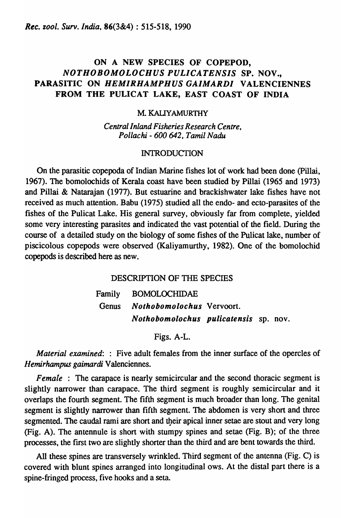# ON A NEW SPECIES OF COPEPOD, *NOTHOBOMOLOCHUS PULICATENSIS* SP. NOV., PARASITIC ON *HEMIRHAMPHUS GAIMARDI* VALENCIENNES FROM THE PULICAT LAKE, EAST COAST OF INDIA

## M. KALIYAMURTHY

*Central Inland Fisheries Research Centre, Pollachi* - *600642, Tamil Nadu* 

### **INTRODUCTION**

On the parasitic copepoda of Indian Marine fishes lot of work had been done (Pillai, 1967). The bomolochids of Kerala coast have been studied by Pillai (1965 and 1973) and Pillai & Natarajan (1977). But estuarine and brackishwater lake fishes have not received as much attention. Babu (1975) studied all the endo- and ecto-parasites of the fishes of the Pulicat Lake. His general survey, obviously far from complete, yielded some very interesting parasites and indicated the vast potential of the field. During the course of a detailed study on the biology of some fishes of the Pulicat lake, number of piscicolous copepods were observed (Kaliyamurthy, 1982). One of the bomolochid copepods is described here as new.

## DESCRIPTION OF THE SPECIES

Family BOMOLOCHIDAE Genus *Nothobomolochus* Vervoort. *Nothobomolochus pulicatensis* sp. nov.

Figs. A-L.

*Material examined:* : Five adult females from the inner surface of the opercles of *Hemirhampus gaimardi* Valenciennes.

*Female* : The carapace is nearly semicircular and the second thoracic segment is slightly narrower than carapace. The third segment is roughly semicircular and it overlaps the fourth segment. The fifth segment is much broader than long. The genital segment is slightly narrower than fifth segment. The abdomen is very short and three segmented. The caudal rami are short and their apical inner setae are stout and very long (Fig. A). The antennule is short with stumpy spines and setae (Fig. B); of the three processes, the fIrst two are slightly shorter than the third and are bent towards the third.

All these spines are transversely wrinkled. Third segment of the antenna (Fig. C) is covered with blunt spines arranged into longitudinal ows. At the distal part there is a spine-fringed process, five hooks and a seta.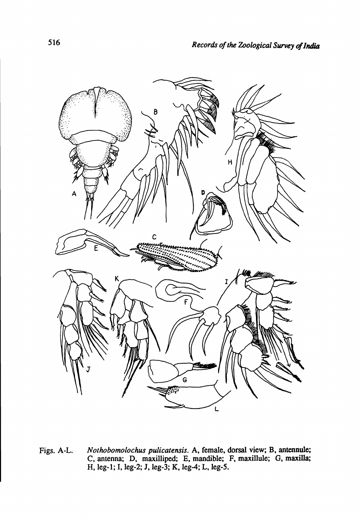

Figs. A-L. *Nothobomolochus pulicatensis.* A, female, dorsal view; B, antennule; C, antenna; D, maxilliped; E, mandible; F, maxillule; G, maxilla; H, leg-1; I, leg-2; J, leg-3; K, leg-4; L, leg-5.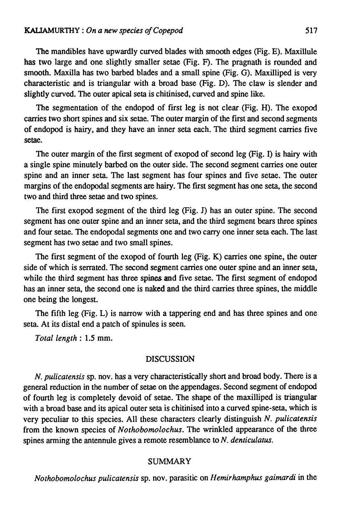The mandibles have upwardly curved blades with smooth edges (Fig. E). Maxillule has two large and one slightly smaller setae (Fig. F). The pragnath is rounded and smooth. Maxilla has two barbed blades and a small spine (Fig. G). Maxilliped is very characteristic and is triangular with a broad base (Fig. D). The claw is slender and slightly curved. The outer apical seta is chitinised, curved and spine like.

The segmentation of the endopod of first leg is not clear (Fig. H). The exopod carries two short spines and six setae. The outer margin of the first and second segments of endopod is hairy, and they have an inner seta each. The third segment carries five setae.

The outer margin of the frrst segment of exopod of second leg (Fig. I) is hairy with a single spine minutely barbed on the outer side. The second segment carries one outer spine and an inner seta. The last segment has four spines and five setae. The outer margins of the endopodal segments are hairy. The frrst segment has one seta, the second two and third three setae and two spines.

The first exopod segment of the third leg (Fig. J) has an outer spine. The second segment has one outer spine and an inner seta, and the third segment bears three spines and four setae. The endopodal segments one and two carry one inner seta each. The last segment has two setae and two small spines.

The first segment of the exopod of fourth leg (Fig. K) carries one spine, the outer side of which is serrated. The second segment carries one outer spine and an inner seta, while the third segment has three spines and five setae. The first segment of endopod has an inner seta, the second one is naked and the third carries three spines, the middle one being the longest.

The fifth leg (Fig. L) is narrow with a tappering end and has three spines and one seta. At its distal end a patch of spinules is seen.

*Total length* : 1.5 mm.

## DISCUSSION

*N. pulicatensis* sp. nov. has a very characteristically short and broad body. There is a general reduction in the number of setae on the appendages. Second segment of endopod of fourth leg is completely devoid of setae. The shape of the maxilliped is triangular with a broad base and its apical outer seta is chitinised into a curved spine-seta, which is very peculiar to this species. All these characters clearly distinguish *N. pulicatensis*  from the known species of *Nothobomolochus.* The wrinkled appearance of the three spines arming the antennule gives a remote resemblance to *N. denticulatus.* 

#### SUMMARY

*Nothobomolochus pulicatensis* sp. nov. parasitic on *H emirhamphus gaimardi* in the